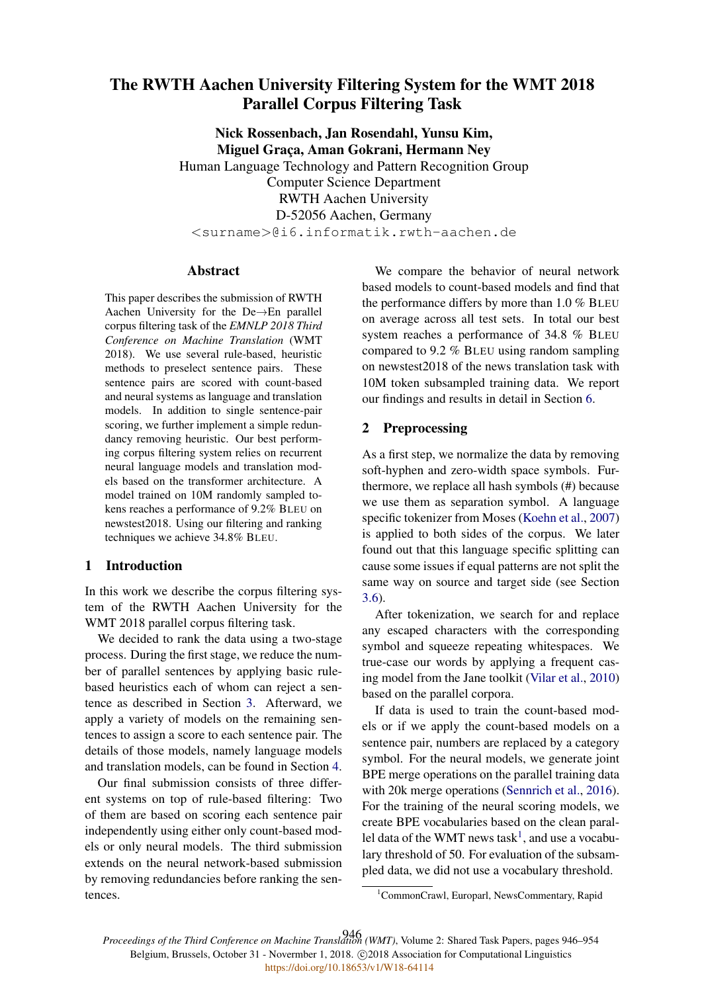# The RWTH Aachen University Filtering System for the WMT 2018 Parallel Corpus Filtering Task

Nick Rossenbach, Jan Rosendahl, Yunsu Kim, Miguel Graça, Aman Gokrani, Hermann Ney Human Language Technology and Pattern Recognition Group Computer Science Department RWTH Aachen University D-52056 Aachen, Germany <surname>@i6.informatik.rwth-aachen.de

# Abstract

This paper describes the submission of RWTH Aachen University for the De→En parallel corpus filtering task of the *EMNLP 2018 Third Conference on Machine Translation* (WMT 2018). We use several rule-based, heuristic methods to preselect sentence pairs. These sentence pairs are scored with count-based and neural systems as language and translation models. In addition to single sentence-pair scoring, we further implement a simple redundancy removing heuristic. Our best performing corpus filtering system relies on recurrent neural language models and translation models based on the transformer architecture. A model trained on 10M randomly sampled tokens reaches a performance of 9.2% BLEU on newstest2018. Using our filtering and ranking techniques we achieve 34.8% BLEU.

# 1 Introduction

In this work we describe the corpus filtering system of the RWTH Aachen University for the WMT 2018 parallel corpus filtering task.

We decided to rank the data using a two-stage process. During the first stage, we reduce the number of parallel sentences by applying basic rulebased heuristics each of whom can reject a sentence as described in Section 3. Afterward, we apply a variety of models on the remaining sentences to assign a score to each sentence pair. The details of those models, namely language models and translation models, can be found in Section 4.

Our final submission consists of three different systems on top of rule-based filtering: Two of them are based on scoring each sentence pair independently using either only count-based models or only neural models. The third submission extends on the neural network-based submission by removing redundancies before ranking the sentences.

We compare the behavior of neural network based models to count-based models and find that the performance differs by more than 1.0 % BLEU on average across all test sets. In total our best system reaches a performance of 34.8 % BLEU compared to 9.2 % BLEU using random sampling on newstest2018 of the news translation task with 10M token subsampled training data. We report our findings and results in detail in Section 6.

## 2 Preprocessing

As a first step, we normalize the data by removing soft-hyphen and zero-width space symbols. Furthermore, we replace all hash symbols (#) because we use them as separation symbol. A language specific tokenizer from Moses (Koehn et al., 2007) is applied to both sides of the corpus. We later found out that this language specific splitting can cause some issues if equal patterns are not split the same way on source and target side (see Section 3.6).

After tokenization, we search for and replace any escaped characters with the corresponding symbol and squeeze repeating whitespaces. We true-case our words by applying a frequent casing model from the Jane toolkit (Vilar et al., 2010) based on the parallel corpora.

If data is used to train the count-based models or if we apply the count-based models on a sentence pair, numbers are replaced by a category symbol. For the neural models, we generate joint BPE merge operations on the parallel training data with 20k merge operations (Sennrich et al., 2016). For the training of the neural scoring models, we create BPE vocabularies based on the clean parallel data of the WMT news task<sup>1</sup>, and use a vocabulary threshold of 50. For evaluation of the subsampled data, we did not use a vocabulary threshold.

*Proceedings of the Third Conference on Machine Translation (WMT)*, Volume 2: Shared Task Papers, pages 946–954 946Belgium, Brussels, October 31 - Novermber 1, 2018. @2018 Association for Computational Linguistics <https://doi.org/10.18653/v1/W18-64114>

<sup>&</sup>lt;sup>1</sup>CommonCrawl, Europarl, NewsCommentary, Rapid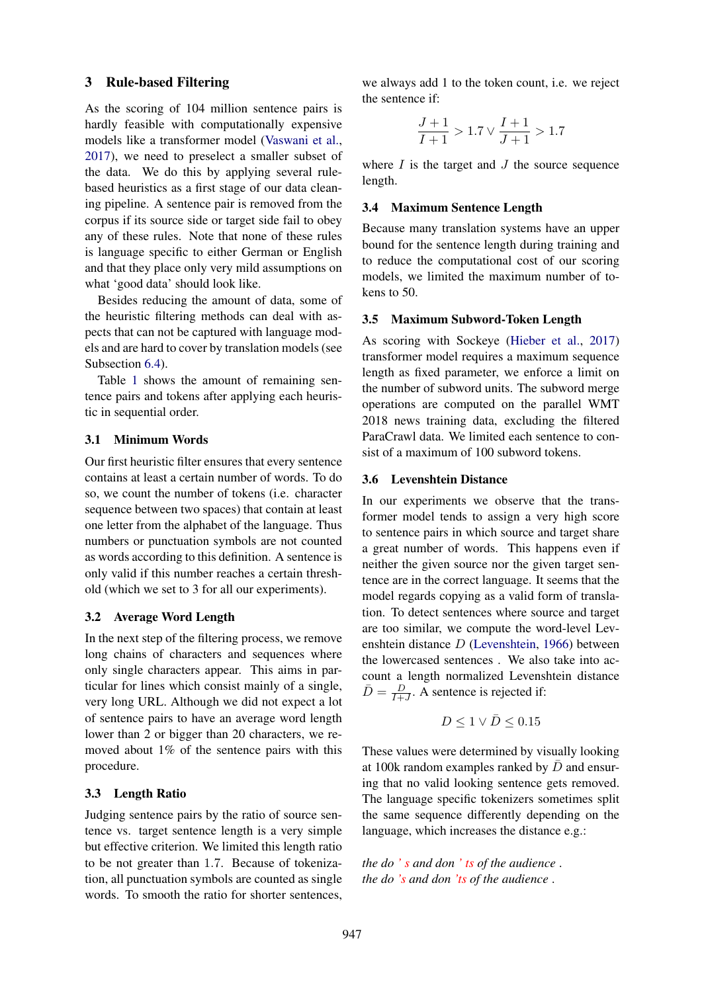#### 3 Rule-based Filtering

As the scoring of 104 million sentence pairs is hardly feasible with computationally expensive models like a transformer model (Vaswani et al., 2017), we need to preselect a smaller subset of the data. We do this by applying several rulebased heuristics as a first stage of our data cleaning pipeline. A sentence pair is removed from the corpus if its source side or target side fail to obey any of these rules. Note that none of these rules is language specific to either German or English and that they place only very mild assumptions on what 'good data' should look like.

Besides reducing the amount of data, some of the heuristic filtering methods can deal with aspects that can not be captured with language models and are hard to cover by translation models (see Subsection 6.4).

Table 1 shows the amount of remaining sentence pairs and tokens after applying each heuristic in sequential order.

## 3.1 Minimum Words

Our first heuristic filter ensures that every sentence contains at least a certain number of words. To do so, we count the number of tokens (i.e. character sequence between two spaces) that contain at least one letter from the alphabet of the language. Thus numbers or punctuation symbols are not counted as words according to this definition. A sentence is only valid if this number reaches a certain threshold (which we set to 3 for all our experiments).

#### 3.2 Average Word Length

In the next step of the filtering process, we remove long chains of characters and sequences where only single characters appear. This aims in particular for lines which consist mainly of a single, very long URL. Although we did not expect a lot of sentence pairs to have an average word length lower than 2 or bigger than 20 characters, we removed about 1% of the sentence pairs with this procedure.

## 3.3 Length Ratio

Judging sentence pairs by the ratio of source sentence vs. target sentence length is a very simple but effective criterion. We limited this length ratio to be not greater than 1.7. Because of tokenization, all punctuation symbols are counted as single words. To smooth the ratio for shorter sentences,

we always add 1 to the token count, i.e. we reject the sentence if:

$$
\frac{J+1}{I+1} > 1.7 \vee \frac{I+1}{J+1} > 1.7
$$

where  $I$  is the target and  $J$  the source sequence length.

#### 3.4 Maximum Sentence Length

Because many translation systems have an upper bound for the sentence length during training and to reduce the computational cost of our scoring models, we limited the maximum number of tokens to 50.

# 3.5 Maximum Subword-Token Length

As scoring with Sockeye (Hieber et al., 2017) transformer model requires a maximum sequence length as fixed parameter, we enforce a limit on the number of subword units. The subword merge operations are computed on the parallel WMT 2018 news training data, excluding the filtered ParaCrawl data. We limited each sentence to consist of a maximum of 100 subword tokens.

#### 3.6 Levenshtein Distance

In our experiments we observe that the transformer model tends to assign a very high score to sentence pairs in which source and target share a great number of words. This happens even if neither the given source nor the given target sentence are in the correct language. It seems that the model regards copying as a valid form of translation. To detect sentences where source and target are too similar, we compute the word-level Levenshtein distance D (Levenshtein, 1966) between the lowercased sentences . We also take into account a length normalized Levenshtein distance  $\bar{D} = \frac{D}{L+1}$  $\frac{D}{I+J}$ . A sentence is rejected if:

$$
D \leq 1 \vee \bar{D} \leq 0.15
$$

These values were determined by visually looking at 100k random examples ranked by  $\bar{D}$  and ensuring that no valid looking sentence gets removed. The language specific tokenizers sometimes split the same sequence differently depending on the language, which increases the distance e.g.:

*the do ' s and don ' ts of the audience* . *the do 's and don 'ts of the audience* .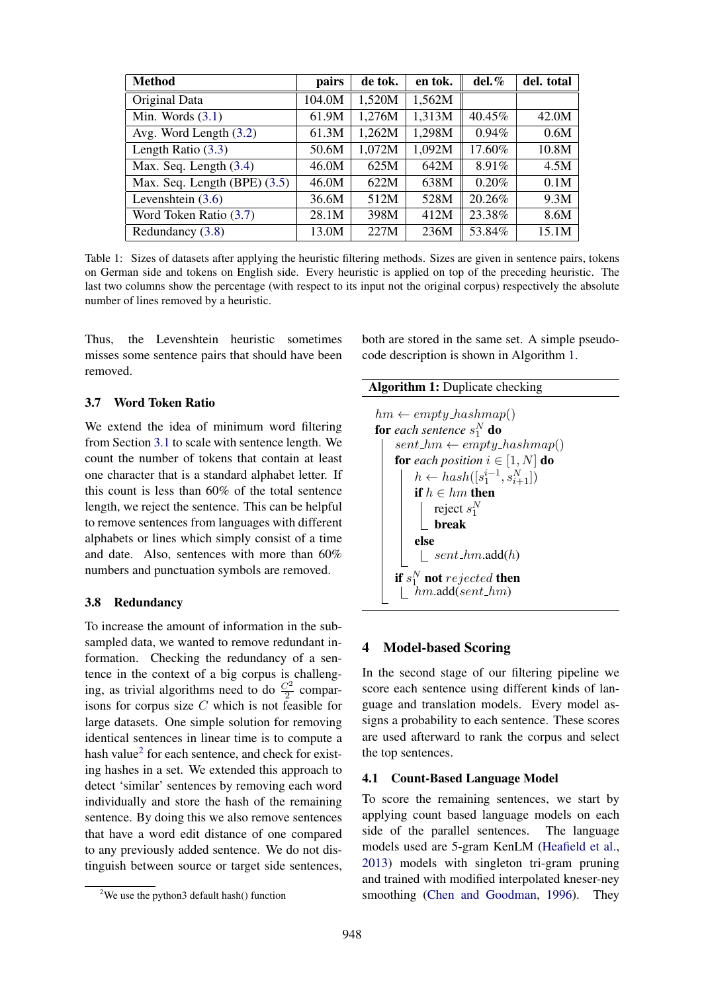| <b>Method</b>                | pairs  | de tok. | en tok. | del. % | del. total |
|------------------------------|--------|---------|---------|--------|------------|
| Original Data                | 104.0M | 1,520M  | 1,562M  |        |            |
| Min. Words $(3.1)$           | 61.9M  | 1,276M  | 1,313M  | 40.45% | 42.0M      |
| Avg. Word Length (3.2)       | 61.3M  | 1,262M  | 1,298M  | 0.94%  | 0.6M       |
| Length Ratio $(3.3)$         | 50.6M  | 1,072M  | 1,092M  | 17.60% | 10.8M      |
| Max. Seq. Length $(3.4)$     | 46.0M  | 625M    | 642M    | 8.91%  | 4.5M       |
| Max. Seq. Length (BPE) (3.5) | 46.0M  | 622M    | 638M    | 0.20%  | 0.1M       |
| Levenshtein $(3.6)$          | 36.6M  | 512M    | 528M    | 20.26% | 9.3M       |
| Word Token Ratio (3.7)       | 28.1M  | 398M    | 412M    | 23.38% | 8.6M       |
| Redundancy (3.8)             | 13.0M  | 227M    | 236M    | 53.84% | 15.1M      |

Table 1: Sizes of datasets after applying the heuristic filtering methods. Sizes are given in sentence pairs, tokens on German side and tokens on English side. Every heuristic is applied on top of the preceding heuristic. The last two columns show the percentage (with respect to its input not the original corpus) respectively the absolute number of lines removed by a heuristic.

Thus, the Levenshtein heuristic sometimes misses some sentence pairs that should have been removed.

# 3.7 Word Token Ratio

We extend the idea of minimum word filtering from Section 3.1 to scale with sentence length. We count the number of tokens that contain at least one character that is a standard alphabet letter. If this count is less than 60% of the total sentence length, we reject the sentence. This can be helpful to remove sentences from languages with different alphabets or lines which simply consist of a time and date. Also, sentences with more than 60% numbers and punctuation symbols are removed.

# 3.8 Redundancy

To increase the amount of information in the subsampled data, we wanted to remove redundant information. Checking the redundancy of a sentence in the context of a big corpus is challenging, as trivial algorithms need to do  $\frac{C^2}{2}$  comparisons for corpus size  $C$  which is not feasible for large datasets. One simple solution for removing identical sentences in linear time is to compute a hash value<sup>2</sup> for each sentence, and check for existing hashes in a set. We extended this approach to detect 'similar' sentences by removing each word individually and store the hash of the remaining sentence. By doing this we also remove sentences that have a word edit distance of one compared to any previously added sentence. We do not distinguish between source or target side sentences,

both are stored in the same set. A simple pseudocode description is shown in Algorithm 1.

#### Algorithm 1: Duplicate checking

 $hm \leftarrow empty\_hashmap()$ **for** each sentence  $s_1^N$  **do**  $sent\_hm \leftarrow empty\_hashmap()$ for *each position*  $i \in [1, N]$  do  $h \leftarrow hash([s_1^{i-1}, s_{i+1}^N])$ if  $h \in hm$  then reject  $s_1^N$ break else  $\lfloor$  sent\_hm.add(h) if  $s_1^N$  not  $rejected$  then  $hm.add(sent_hm)$ 

### 4 Model-based Scoring

In the second stage of our filtering pipeline we score each sentence using different kinds of language and translation models. Every model assigns a probability to each sentence. These scores are used afterward to rank the corpus and select the top sentences.

## 4.1 Count-Based Language Model

To score the remaining sentences, we start by applying count based language models on each side of the parallel sentences. The language models used are 5-gram KenLM (Heafield et al., 2013) models with singleton tri-gram pruning and trained with modified interpolated kneser-ney smoothing (Chen and Goodman, 1996). They

<sup>&</sup>lt;sup>2</sup>We use the python3 default hash $()$  function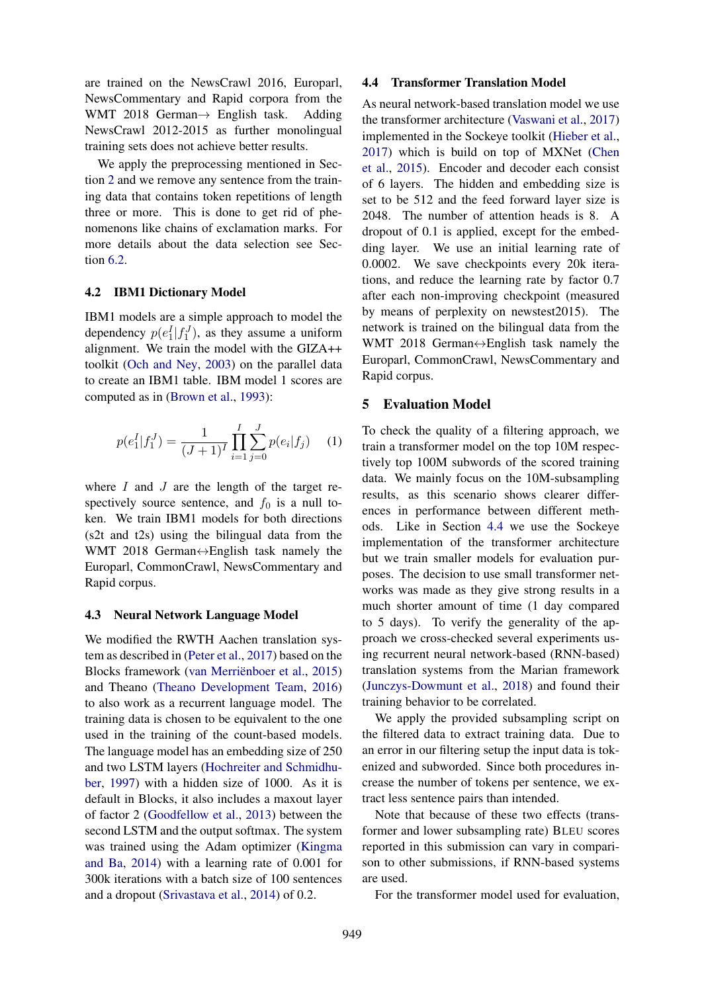are trained on the NewsCrawl 2016, Europarl, NewsCommentary and Rapid corpora from the WMT 2018 German $\rightarrow$  English task. Adding NewsCrawl 2012-2015 as further monolingual training sets does not achieve better results.

We apply the preprocessing mentioned in Section 2 and we remove any sentence from the training data that contains token repetitions of length three or more. This is done to get rid of phenomenons like chains of exclamation marks. For more details about the data selection see Section 6.2.

#### 4.2 IBM1 Dictionary Model

IBM1 models are a simple approach to model the dependency  $p(e_1^I|f_1^J)$ , as they assume a uniform alignment. We train the model with the GIZA++ toolkit (Och and Ney, 2003) on the parallel data to create an IBM1 table. IBM model 1 scores are computed as in (Brown et al., 1993):

$$
p(e_1^I|f_1^J) = \frac{1}{(J+1)^I} \prod_{i=1}^I \sum_{j=0}^J p(e_i|f_j) \tag{1}
$$

where  $I$  and  $J$  are the length of the target respectively source sentence, and  $f_0$  is a null token. We train IBM1 models for both directions (s2t and t2s) using the bilingual data from the WMT 2018 German↔English task namely the Europarl, CommonCrawl, NewsCommentary and Rapid corpus.

#### 4.3 Neural Network Language Model

We modified the RWTH Aachen translation system as described in (Peter et al., 2017) based on the Blocks framework (van Merriënboer et al., 2015) and Theano (Theano Development Team, 2016) to also work as a recurrent language model. The training data is chosen to be equivalent to the one used in the training of the count-based models. The language model has an embedding size of 250 and two LSTM layers (Hochreiter and Schmidhuber, 1997) with a hidden size of 1000. As it is default in Blocks, it also includes a maxout layer of factor 2 (Goodfellow et al., 2013) between the second LSTM and the output softmax. The system was trained using the Adam optimizer (Kingma and Ba, 2014) with a learning rate of 0.001 for 300k iterations with a batch size of 100 sentences and a dropout (Srivastava et al., 2014) of 0.2.

### 4.4 Transformer Translation Model

As neural network-based translation model we use the transformer architecture (Vaswani et al., 2017) implemented in the Sockeye toolkit (Hieber et al., 2017) which is build on top of MXNet (Chen et al., 2015). Encoder and decoder each consist of 6 layers. The hidden and embedding size is set to be 512 and the feed forward layer size is 2048. The number of attention heads is 8. A dropout of 0.1 is applied, except for the embedding layer. We use an initial learning rate of 0.0002. We save checkpoints every 20k iterations, and reduce the learning rate by factor 0.7 after each non-improving checkpoint (measured by means of perplexity on newstest2015). The network is trained on the bilingual data from the WMT 2018 German $\leftrightarrow$ English task namely the Europarl, CommonCrawl, NewsCommentary and Rapid corpus.

#### 5 Evaluation Model

To check the quality of a filtering approach, we train a transformer model on the top 10M respectively top 100M subwords of the scored training data. We mainly focus on the 10M-subsampling results, as this scenario shows clearer differences in performance between different methods. Like in Section 4.4 we use the Sockeye implementation of the transformer architecture but we train smaller models for evaluation purposes. The decision to use small transformer networks was made as they give strong results in a much shorter amount of time (1 day compared to 5 days). To verify the generality of the approach we cross-checked several experiments using recurrent neural network-based (RNN-based) translation systems from the Marian framework (Junczys-Dowmunt et al., 2018) and found their training behavior to be correlated.

We apply the provided subsampling script on the filtered data to extract training data. Due to an error in our filtering setup the input data is tokenized and subworded. Since both procedures increase the number of tokens per sentence, we extract less sentence pairs than intended.

Note that because of these two effects (transformer and lower subsampling rate) BLEU scores reported in this submission can vary in comparison to other submissions, if RNN-based systems are used.

For the transformer model used for evaluation,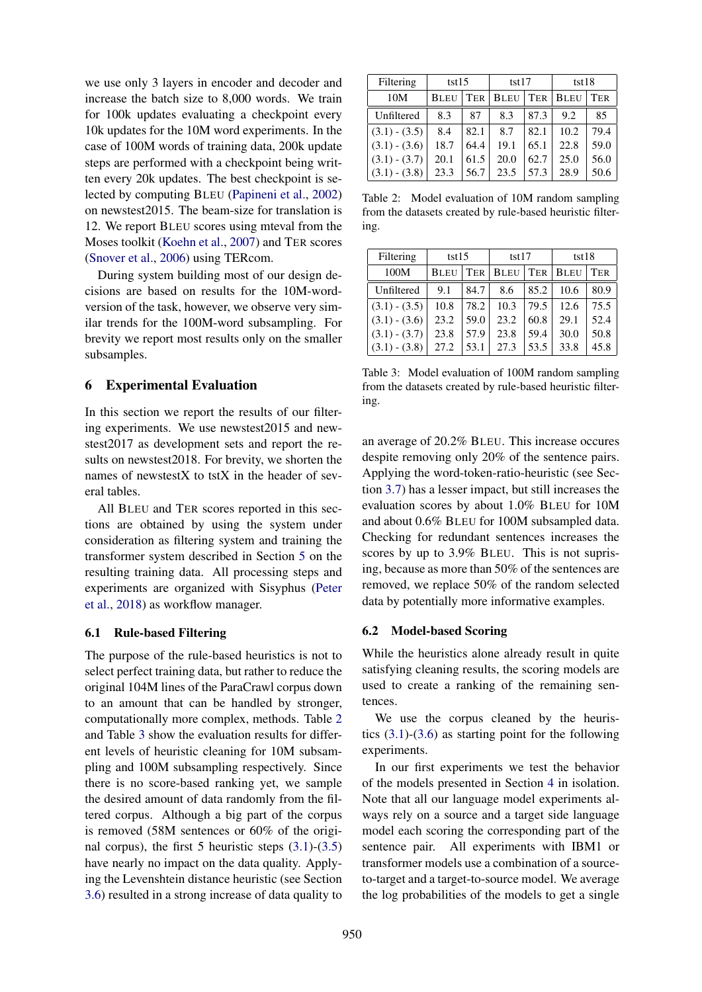we use only 3 layers in encoder and decoder and increase the batch size to 8,000 words. We train for 100k updates evaluating a checkpoint every 10k updates for the 10M word experiments. In the case of 100M words of training data, 200k update steps are performed with a checkpoint being written every 20k updates. The best checkpoint is selected by computing BLEU (Papineni et al., 2002) on newstest2015. The beam-size for translation is 12. We report BLEU scores using mteval from the Moses toolkit (Koehn et al., 2007) and TER scores (Snover et al., 2006) using TERcom.

During system building most of our design decisions are based on results for the 10M-wordversion of the task, however, we observe very similar trends for the 100M-word subsampling. For brevity we report most results only on the smaller subsamples.

# 6 Experimental Evaluation

In this section we report the results of our filtering experiments. We use newstest2015 and newstest2017 as development sets and report the results on newstest2018. For brevity, we shorten the names of newstest $X$  to tst $X$  in the header of several tables.

All BLEU and TER scores reported in this sections are obtained by using the system under consideration as filtering system and training the transformer system described in Section 5 on the resulting training data. All processing steps and experiments are organized with Sisyphus (Peter et al., 2018) as workflow manager.

## 6.1 Rule-based Filtering

The purpose of the rule-based heuristics is not to select perfect training data, but rather to reduce the original 104M lines of the ParaCrawl corpus down to an amount that can be handled by stronger, computationally more complex, methods. Table 2 and Table 3 show the evaluation results for different levels of heuristic cleaning for 10M subsampling and 100M subsampling respectively. Since there is no score-based ranking yet, we sample the desired amount of data randomly from the filtered corpus. Although a big part of the corpus is removed (58M sentences or 60% of the original corpus), the first 5 heuristic steps  $(3.1)-(3.5)$ have nearly no impact on the data quality. Applying the Levenshtein distance heuristic (see Section 3.6) resulted in a strong increase of data quality to

| Filtering       | tst15       |            | tst17       |            | tst18       |            |  |
|-----------------|-------------|------------|-------------|------------|-------------|------------|--|
| 10M             | <b>BLEU</b> | <b>TER</b> | <b>BLEU</b> | <b>TER</b> | <b>BLEU</b> | <b>TER</b> |  |
| Unfiltered      | 8.3         | 87         | 8.3         | 87.3       | 9.2         | 85         |  |
| $(3.1) - (3.5)$ | 8.4         | 82.1       | 8.7         | 82.1       | 10.2        | 79.4       |  |
| $(3.1) - (3.6)$ | 18.7        | 64.4       | 19.1        | 65.1       | 22.8        | 59.0       |  |
| $(3.1) - (3.7)$ | 20.1        | 61.5       | 20.0        | 62.7       | 25.0        | 56.0       |  |
| $(3.1) - (3.8)$ | 23.3        | 56.7       | 23.5        | 57.3       | 28.9        | 50.6       |  |

Table 2: Model evaluation of 10M random sampling from the datasets created by rule-based heuristic filtering.

| Filtering       | tst15       |      | tst17       |            | tst18       |      |
|-----------------|-------------|------|-------------|------------|-------------|------|
| 100M            | <b>BLEU</b> | TER  | <b>BLEU</b> | <b>TER</b> | <b>BLEU</b> | TER  |
| Unfiltered      | 9.1         | 84.7 | 8.6         | 85.2       | 10.6        | 80.9 |
| $(3.1) - (3.5)$ | 10.8        | 78.2 | 10.3        | 79.5       | 12.6        | 75.5 |
| $(3.1) - (3.6)$ | 23.2        | 59.0 | 23.2        | 60.8       | 29.1        | 52.4 |
| $(3.1) - (3.7)$ | 23.8        | 57.9 | 23.8        | 59.4       | 30.0        | 50.8 |
| $(3.1) - (3.8)$ | 27.2        | 53.1 | 27.3        | 53.5       | 33.8        | 45.8 |

Table 3: Model evaluation of 100M random sampling from the datasets created by rule-based heuristic filtering.

an average of 20.2% BLEU. This increase occures despite removing only 20% of the sentence pairs. Applying the word-token-ratio-heuristic (see Section 3.7) has a lesser impact, but still increases the evaluation scores by about 1.0% BLEU for 10M and about 0.6% BLEU for 100M subsampled data. Checking for redundant sentences increases the scores by up to 3.9% BLEU. This is not suprising, because as more than 50% of the sentences are removed, we replace 50% of the random selected data by potentially more informative examples.

## 6.2 Model-based Scoring

While the heuristics alone already result in quite satisfying cleaning results, the scoring models are used to create a ranking of the remaining sentences.

We use the corpus cleaned by the heuristics  $(3.1)$ - $(3.6)$  as starting point for the following experiments.

In our first experiments we test the behavior of the models presented in Section 4 in isolation. Note that all our language model experiments always rely on a source and a target side language model each scoring the corresponding part of the sentence pair. All experiments with IBM1 or transformer models use a combination of a sourceto-target and a target-to-source model. We average the log probabilities of the models to get a single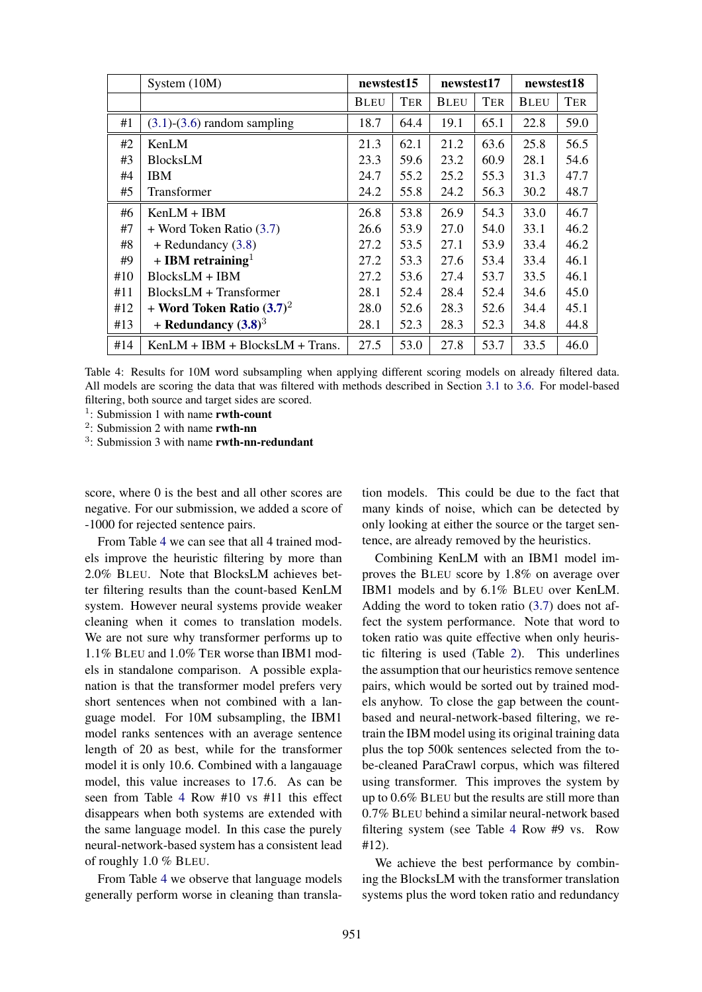|     | System (10M)                      | newstest15  |            | newstest17  |            | newstest18  |      |
|-----|-----------------------------------|-------------|------------|-------------|------------|-------------|------|
|     |                                   | <b>BLEU</b> | <b>TER</b> | <b>BLEU</b> | <b>TER</b> | <b>BLEU</b> | TER  |
| #1  | $(3.1)$ - $(3.6)$ random sampling | 18.7        | 64.4       | 19.1        | 65.1       | 22.8        | 59.0 |
| #2  | KenLM                             | 21.3        | 62.1       | 21.2        | 63.6       | 25.8        | 56.5 |
| #3  | <b>BlocksLM</b>                   | 23.3        | 59.6       | 23.2        | 60.9       | 28.1        | 54.6 |
| #4  | <b>IBM</b>                        | 24.7        | 55.2       | 25.2        | 55.3       | 31.3        | 47.7 |
| #5  | Transformer                       | 24.2        | 55.8       | 24.2        | 56.3       | 30.2        | 48.7 |
| #6  | $KenLM + IBM$                     | 26.8        | 53.8       | 26.9        | 54.3       | 33.0        | 46.7 |
| #7  | $+$ Word Token Ratio $(3.7)$      | 26.6        | 53.9       | 27.0        | 54.0       | 33.1        | 46.2 |
| #8  | $+$ Redundancy $(3.8)$            | 27.2        | 53.5       | 27.1        | 53.9       | 33.4        | 46.2 |
| #9  | + IBM retraining <sup>1</sup>     | 27.2        | 53.3       | 27.6        | 53.4       | 33.4        | 46.1 |
| #10 | $BlocksLM + IBM$                  | 27.2        | 53.6       | 27.4        | 53.7       | 33.5        | 46.1 |
| #11 | $BlocksLM + Transfer$             | 28.1        | 52.4       | 28.4        | 52.4       | 34.6        | 45.0 |
| #12 | + Word Token Ratio $(3.7)^2$      | 28.0        | 52.6       | 28.3        | 52.6       | 34.4        | 45.1 |
| #13 | + Redundancy $(3.8)^3$            | 28.1        | 52.3       | 28.3        | 52.3       | 34.8        | 44.8 |
| #14 | $KenLM + IBM + BlocksLM + Trans.$ | 27.5        | 53.0       | 27.8        | 53.7       | 33.5        | 46.0 |

Table 4: Results for 10M word subsampling when applying different scoring models on already filtered data. All models are scoring the data that was filtered with methods described in Section 3.1 to 3.6. For model-based filtering, both source and target sides are scored.

<sup>1</sup>: Submission 1 with name rwth-count

<sup>2</sup>: Submission 2 with name rwth-nn

score, where 0 is the best and all other scores are negative. For our submission, we added a score of -1000 for rejected sentence pairs.

From Table 4 we can see that all 4 trained models improve the heuristic filtering by more than 2.0% BLEU. Note that BlocksLM achieves better filtering results than the count-based KenLM system. However neural systems provide weaker cleaning when it comes to translation models. We are not sure why transformer performs up to 1.1% BLEU and 1.0% TER worse than IBM1 models in standalone comparison. A possible explanation is that the transformer model prefers very short sentences when not combined with a language model. For 10M subsampling, the IBM1 model ranks sentences with an average sentence length of 20 as best, while for the transformer model it is only 10.6. Combined with a langauage model, this value increases to 17.6. As can be seen from Table 4 Row #10 vs #11 this effect disappears when both systems are extended with the same language model. In this case the purely neural-network-based system has a consistent lead of roughly 1.0 % BLEU.

From Table 4 we observe that language models generally perform worse in cleaning than transla-

tion models. This could be due to the fact that many kinds of noise, which can be detected by only looking at either the source or the target sentence, are already removed by the heuristics.

Combining KenLM with an IBM1 model improves the BLEU score by 1.8% on average over IBM1 models and by 6.1% BLEU over KenLM. Adding the word to token ratio (3.7) does not affect the system performance. Note that word to token ratio was quite effective when only heuristic filtering is used (Table 2). This underlines the assumption that our heuristics remove sentence pairs, which would be sorted out by trained models anyhow. To close the gap between the countbased and neural-network-based filtering, we retrain the IBM model using its original training data plus the top 500k sentences selected from the tobe-cleaned ParaCrawl corpus, which was filtered using transformer. This improves the system by up to 0.6% BLEU but the results are still more than 0.7% BLEU behind a similar neural-network based filtering system (see Table 4 Row #9 vs. Row #12).

We achieve the best performance by combining the BlocksLM with the transformer translation systems plus the word token ratio and redundancy

<sup>&</sup>lt;sup>3</sup>: Submission 3 with name rwth-nn-redundant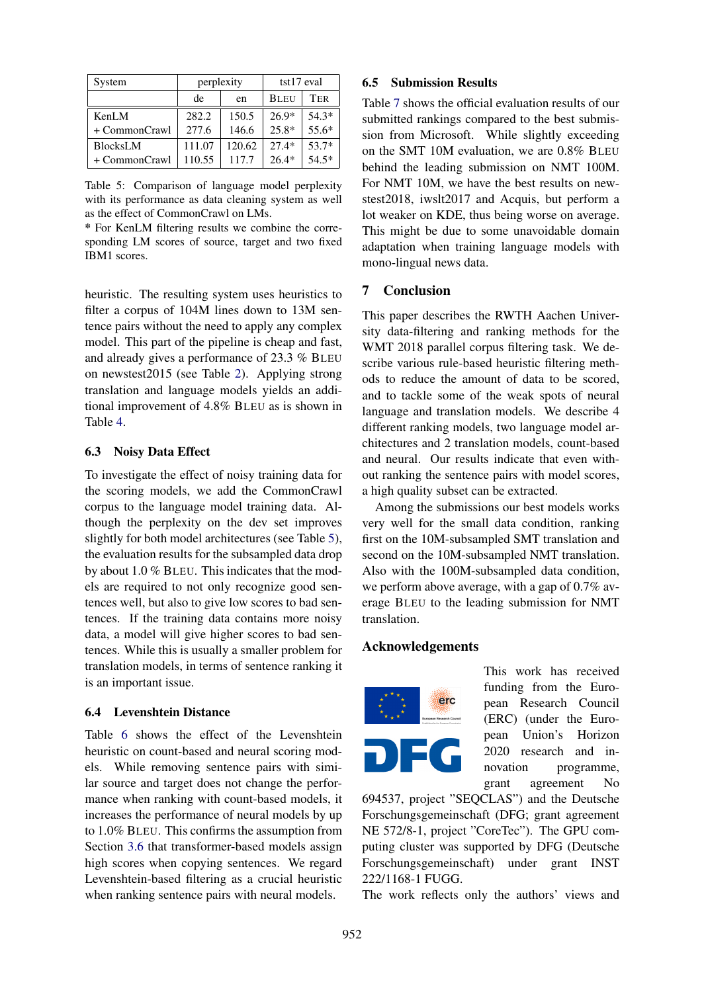| System          |          | perplexity | tst17 eval  |         |  |
|-----------------|----------|------------|-------------|---------|--|
|                 | de<br>en |            | <b>BLEU</b> | TER     |  |
| KenLM           | 282.2    | 150.5      | $26.9*$     | $54.3*$ |  |
| + CommonCrawl   | 277.6    | 146.6      | $25.8*$     | 55.6*   |  |
| <b>BlocksLM</b> | 111.07   | 120.62     | $27.4*$     | 53.7*   |  |
| + CommonCrawl   | 110.55   | 117.7      | $26.4*$     | $54.5*$ |  |

Table 5: Comparison of language model perplexity with its performance as data cleaning system as well as the effect of CommonCrawl on LMs.

\* For KenLM filtering results we combine the corresponding LM scores of source, target and two fixed IBM1 scores.

heuristic. The resulting system uses heuristics to filter a corpus of 104M lines down to 13M sentence pairs without the need to apply any complex model. This part of the pipeline is cheap and fast, and already gives a performance of 23.3 % BLEU on newstest2015 (see Table 2). Applying strong translation and language models yields an additional improvement of 4.8% BLEU as is shown in Table 4.

## 6.3 Noisy Data Effect

To investigate the effect of noisy training data for the scoring models, we add the CommonCrawl corpus to the language model training data. Although the perplexity on the dev set improves slightly for both model architectures (see Table 5), the evaluation results for the subsampled data drop by about 1.0 % BLEU. This indicates that the models are required to not only recognize good sentences well, but also to give low scores to bad sentences. If the training data contains more noisy data, a model will give higher scores to bad sentences. While this is usually a smaller problem for translation models, in terms of sentence ranking it is an important issue.

## 6.4 Levenshtein Distance

Table 6 shows the effect of the Levenshtein heuristic on count-based and neural scoring models. While removing sentence pairs with similar source and target does not change the performance when ranking with count-based models, it increases the performance of neural models by up to 1.0% BLEU. This confirms the assumption from Section 3.6 that transformer-based models assign high scores when copying sentences. We regard Levenshtein-based filtering as a crucial heuristic when ranking sentence pairs with neural models.

#### 6.5 Submission Results

Table 7 shows the official evaluation results of our submitted rankings compared to the best submission from Microsoft. While slightly exceeding on the SMT 10M evaluation, we are 0.8% BLEU behind the leading submission on NMT 100M. For NMT 10M, we have the best results on newstest2018, iwslt2017 and Acquis, but perform a lot weaker on KDE, thus being worse on average. This might be due to some unavoidable domain adaptation when training language models with mono-lingual news data.

# 7 Conclusion

This paper describes the RWTH Aachen University data-filtering and ranking methods for the WMT 2018 parallel corpus filtering task. We describe various rule-based heuristic filtering methods to reduce the amount of data to be scored, and to tackle some of the weak spots of neural language and translation models. We describe 4 different ranking models, two language model architectures and 2 translation models, count-based and neural. Our results indicate that even without ranking the sentence pairs with model scores, a high quality subset can be extracted.

Among the submissions our best models works very well for the small data condition, ranking first on the 10M-subsampled SMT translation and second on the 10M-subsampled NMT translation. Also with the 100M-subsampled data condition, we perform above average, with a gap of 0.7% average BLEU to the leading submission for NMT translation.

## Acknowledgements



This work has received funding from the European Research Council (ERC) (under the European Union's Horizon 2020 research and innovation programme, grant agreement No

694537, project "SEQCLAS") and the Deutsche Forschungsgemeinschaft (DFG; grant agreement NE 572/8-1, project "CoreTec"). The GPU computing cluster was supported by DFG (Deutsche Forschungsgemeinschaft) under grant INST 222/1168-1 FUGG.

The work reflects only the authors' views and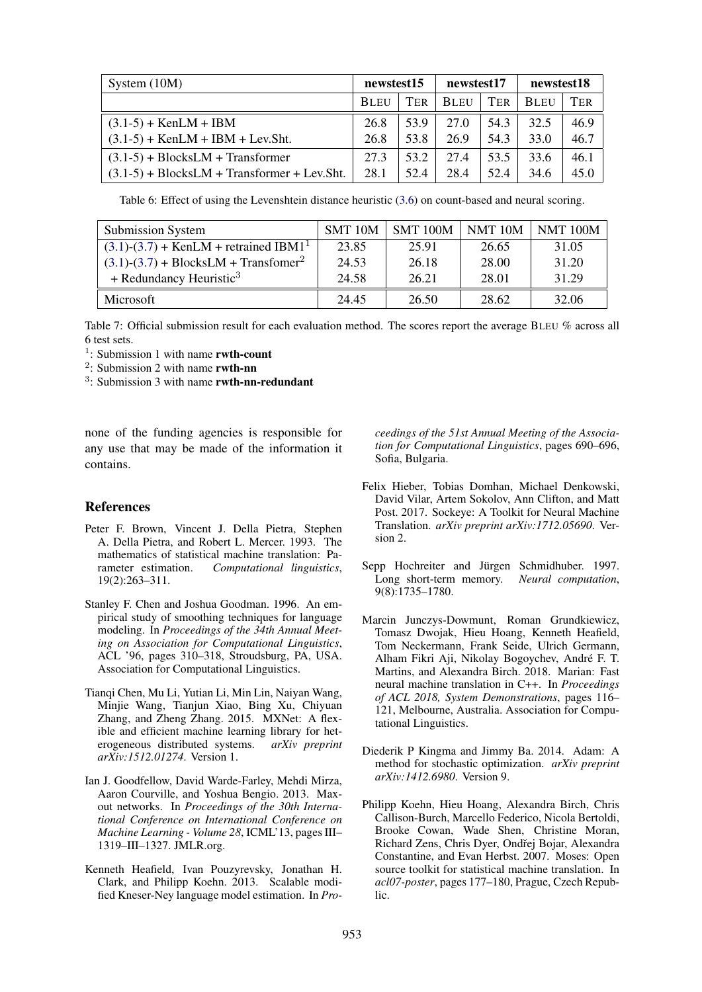| System $(10M)$                                | newstest15  |      | newstest17  |      | newstest18  |            |
|-----------------------------------------------|-------------|------|-------------|------|-------------|------------|
|                                               | <b>BLEU</b> | TER  | <b>BLEU</b> | TER  | <b>BLEU</b> | <b>TER</b> |
| $(3.1-5) +$ KenLM + IBM                       | 26.8        | 53.9 | 27.0        | 54.3 | 32.5        | 46.9       |
| $(3.1-5)$ + KenLM + IBM + Lev.Sht.            | 26.8        | 53.8 | 26.9        | 54.3 | 33.0        | 46.7       |
| $(3.1-5)$ + BlocksLM + Transformer            | 27.3        | 53.2 | 27.4        | 53.5 | 33.6        | 46.1       |
| $(3.1-5)$ + BlocksLM + Transformer + Lev.Sht. | 28.1        | 52.4 | 28.4        | 52.4 | 34.6        | 45.0       |

Table 6: Effect of using the Levenshtein distance heuristic (3.6) on count-based and neural scoring.

| <b>Submission System</b>                            | SMT 10M | <b>SMT 100M</b> | NMT 10M | <b>NMT 100M</b> |
|-----------------------------------------------------|---------|-----------------|---------|-----------------|
| $(3.1)-(3.7) +$ KenLM + retrained IBM1 <sup>1</sup> | 23.85   | 25.91           | 26.65   | 31.05           |
| $(3.1)-(3.7) + BlocksLM + Transform2$               | 24.53   | 26.18           | 28.00   | 31.20           |
| + Redundancy Heuristic <sup>3</sup>                 | 24.58   | 26.21           | 28.01   | 31.29           |
| Microsoft                                           | 24.45   | 26.50           | 28.62   | 32.06           |

Table 7: Official submission result for each evaluation method. The scores report the average BLEU % across all 6 test sets.

- <sup>1</sup>: Submission 1 with name rwth-count
- <sup>2</sup>: Submission 2 with name rwth-nn
- <sup>3</sup>: Submission 3 with name rwth-nn-redundant

none of the funding agencies is responsible for any use that may be made of the information it contains.

# References

- Peter F. Brown, Vincent J. Della Pietra, Stephen A. Della Pietra, and Robert L. Mercer. 1993. The mathematics of statistical machine translation: Parameter estimation. *Computational linguistics*, 19(2):263–311.
- Stanley F. Chen and Joshua Goodman. 1996. An empirical study of smoothing techniques for language modeling. In *Proceedings of the 34th Annual Meeting on Association for Computational Linguistics*, ACL '96, pages 310–318, Stroudsburg, PA, USA. Association for Computational Linguistics.
- Tianqi Chen, Mu Li, Yutian Li, Min Lin, Naiyan Wang, Minjie Wang, Tianjun Xiao, Bing Xu, Chiyuan Zhang, and Zheng Zhang. 2015. MXNet: A flexible and efficient machine learning library for heterogeneous distributed systems. *arXiv preprint arXiv:1512.01274*. Version 1.
- Ian J. Goodfellow, David Warde-Farley, Mehdi Mirza, Aaron Courville, and Yoshua Bengio. 2013. Maxout networks. In *Proceedings of the 30th International Conference on International Conference on Machine Learning - Volume 28*, ICML'13, pages III– 1319–III–1327. JMLR.org.
- Kenneth Heafield, Ivan Pouzyrevsky, Jonathan H. Clark, and Philipp Koehn. 2013. Scalable modified Kneser-Ney language model estimation. In *Pro-*

*ceedings of the 51st Annual Meeting of the Association for Computational Linguistics*, pages 690–696, Sofia, Bulgaria.

- Felix Hieber, Tobias Domhan, Michael Denkowski, David Vilar, Artem Sokolov, Ann Clifton, and Matt Post. 2017. Sockeye: A Toolkit for Neural Machine Translation. *arXiv preprint arXiv:1712.05690*. Version 2.
- Sepp Hochreiter and Jürgen Schmidhuber. 1997. Long short-term memory. *Neural computation*, 9(8):1735–1780.
- Marcin Junczys-Dowmunt, Roman Grundkiewicz, Tomasz Dwojak, Hieu Hoang, Kenneth Heafield, Tom Neckermann, Frank Seide, Ulrich Germann, Alham Fikri Aji, Nikolay Bogoychev, Andre F. T. ´ Martins, and Alexandra Birch. 2018. Marian: Fast neural machine translation in C++. In *Proceedings of ACL 2018, System Demonstrations*, pages 116– 121, Melbourne, Australia. Association for Computational Linguistics.
- Diederik P Kingma and Jimmy Ba. 2014. Adam: A method for stochastic optimization. *arXiv preprint arXiv:1412.6980*. Version 9.
- Philipp Koehn, Hieu Hoang, Alexandra Birch, Chris Callison-Burch, Marcello Federico, Nicola Bertoldi, Brooke Cowan, Wade Shen, Christine Moran, Richard Zens, Chris Dyer, Ondřej Bojar, Alexandra Constantine, and Evan Herbst. 2007. Moses: Open source toolkit for statistical machine translation. In *acl07-poster*, pages 177–180, Prague, Czech Republic.